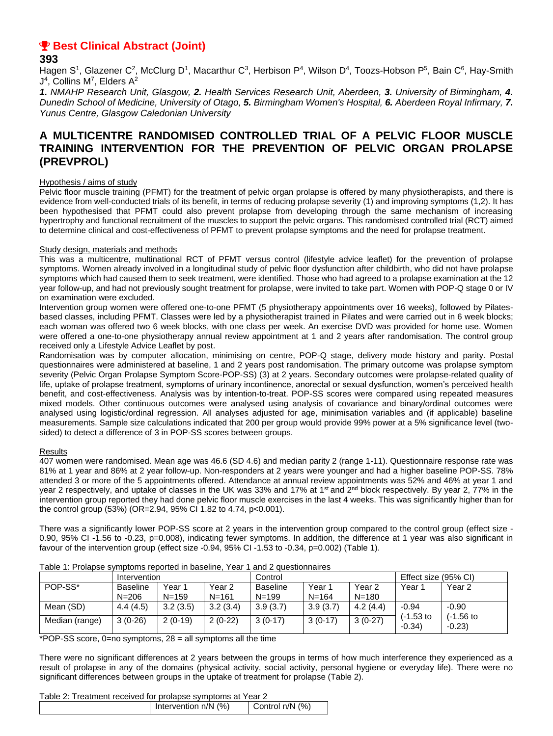# **P** Best Clinical Abstract (Joint)

## **393**

Hagen S<sup>1</sup>, Glazener C<sup>2</sup>, McClurg D<sup>1</sup>, Macarthur C<sup>3</sup>, Herbison P<sup>4</sup>, Wilson D<sup>4</sup>, Toozs-Hobson P<sup>5</sup>, Bain C<sup>6</sup>, Hay-Smith  $J<sup>4</sup>$ , Collins M<sup>7</sup>, Elders A<sup>2</sup>

*1. NMAHP Research Unit, Glasgow, 2. Health Services Research Unit, Aberdeen, 3. University of Birmingham, 4. Dunedin School of Medicine, University of Otago, 5. Birmingham Women's Hospital, 6. Aberdeen Royal Infirmary, 7. Yunus Centre, Glasgow Caledonian University*

## **A MULTICENTRE RANDOMISED CONTROLLED TRIAL OF A PELVIC FLOOR MUSCLE TRAINING INTERVENTION FOR THE PREVENTION OF PELVIC ORGAN PROLAPSE (PREVPROL)**

#### Hypothesis / aims of study

Pelvic floor muscle training (PFMT) for the treatment of pelvic organ prolapse is offered by many physiotherapists, and there is evidence from well-conducted trials of its benefit, in terms of reducing prolapse severity (1) and improving symptoms (1,2). It has been hypothesised that PFMT could also prevent prolapse from developing through the same mechanism of increasing hypertrophy and functional recruitment of the muscles to support the pelvic organs. This randomised controlled trial (RCT) aimed to determine clinical and cost-effectiveness of PFMT to prevent prolapse symptoms and the need for prolapse treatment.

### Study design, materials and methods

This was a multicentre, multinational RCT of PFMT versus control (lifestyle advice leaflet) for the prevention of prolapse symptoms. Women already involved in a longitudinal study of pelvic floor dysfunction after childbirth, who did not have prolapse symptoms which had caused them to seek treatment, were identified. Those who had agreed to a prolapse examination at the 12 year follow-up, and had not previously sought treatment for prolapse, were invited to take part. Women with POP-Q stage 0 or IV on examination were excluded.

Intervention group women were offered one-to-one PFMT (5 physiotherapy appointments over 16 weeks), followed by Pilatesbased classes, including PFMT. Classes were led by a physiotherapist trained in Pilates and were carried out in 6 week blocks; each woman was offered two 6 week blocks, with one class per week. An exercise DVD was provided for home use. Women were offered a one-to-one physiotherapy annual review appointment at 1 and 2 years after randomisation. The control group received only a Lifestyle Advice Leaflet by post.

Randomisation was by computer allocation, minimising on centre, POP-Q stage, delivery mode history and parity. Postal questionnaires were administered at baseline, 1 and 2 years post randomisation. The primary outcome was prolapse symptom severity (Pelvic Organ Prolapse Symptom Score-POP-SS) (3) at 2 years. Secondary outcomes were prolapse-related quality of life, uptake of prolapse treatment, symptoms of urinary incontinence, anorectal or sexual dysfunction, women's perceived health benefit, and cost-effectiveness. Analysis was by intention-to-treat. POP-SS scores were compared using repeated measures mixed models. Other continuous outcomes were analysed using analysis of covariance and binary/ordinal outcomes were analysed using logistic/ordinal regression. All analyses adjusted for age, minimisation variables and (if applicable) baseline measurements. Sample size calculations indicated that 200 per group would provide 99% power at a 5% significance level (twosided) to detect a difference of 3 in POP-SS scores between groups.

### Results

407 women were randomised. Mean age was 46.6 (SD 4.6) and median parity 2 (range 1-11). Questionnaire response rate was 81% at 1 year and 86% at 2 year follow-up. Non-responders at 2 years were younger and had a higher baseline POP-SS. 78% attended 3 or more of the 5 appointments offered. Attendance at annual review appointments was 52% and 46% at year 1 and year 2 respectively, and uptake of classes in the UK was 33% and 17% at 1<sup>st</sup> and 2<sup>nd</sup> block respectively. By year 2, 77% in the intervention group reported they had done pelvic floor muscle exercises in the last 4 weeks. This was significantly higher than for the control group (53%) (OR=2.94, 95% CI 1.82 to 4.74, p<0.001).

There was a significantly lower POP-SS score at 2 years in the intervention group compared to the control group (effect size - 0.90, 95% CI -1.56 to -0.23, p=0.008), indicating fewer symptoms. In addition, the difference at 1 year was also significant in favour of the intervention group (effect size -0.94, 95% CI -1.53 to -0.34, p=0.002) (Table 1).

|                | Intervention    |           |           | Control         |           |           | Effect size (95% CI) |                         |
|----------------|-----------------|-----------|-----------|-----------------|-----------|-----------|----------------------|-------------------------|
| POP-SS*        | <b>Baseline</b> | Year 1    | Year 2    | <b>Baseline</b> | Year ′    | Year 2    | Year                 | Year 2                  |
|                | $N = 206$       | $N = 159$ | $N = 161$ | $N = 199$       | $N = 164$ | $N = 180$ |                      |                         |
| Mean (SD)      | 4.4(4.5)        | 3.2(3.5)  | 3.2(3.4)  | 3.9(3.7)        | 3.9(3.7)  | 4.2(4.4)  | $-0.94$              | $-0.90$                 |
| Median (range) | $3(0-26)$       | $2(0-19)$ | $2(0-22)$ | $3(0-17)$       | $3(0-17)$ | $3(0-27)$ | (-1.53 to<br>$-0.34$ | $(-1.56)$ to<br>$-0.23$ |

Table 1: Prolapse symptoms reported in baseline, Year 1 and 2 questionnaires

\*POP-SS score,  $0=$ no symptoms,  $28 =$  all symptoms all the time

There were no significant differences at 2 years between the groups in terms of how much interference they experienced as a result of prolapse in any of the domains (physical activity, social activity, personal hygiene or everyday life). There were no significant differences between groups in the uptake of treatment for prolapse (Table 2).

#### Table 2: Treatment received for prolapse symptoms at Year 2

|  | Intervention n/N (%) | Control n/N (%) |  |  |  |  |  |
|--|----------------------|-----------------|--|--|--|--|--|